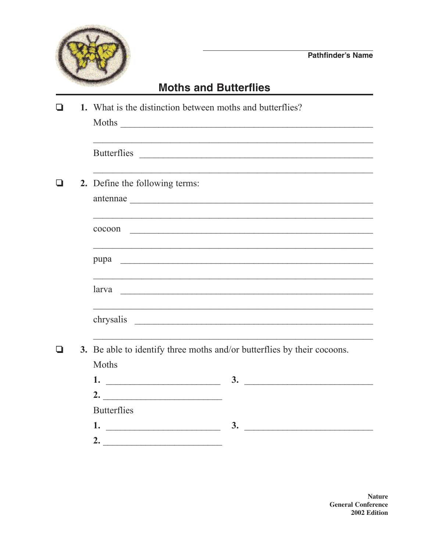

## **Moths and Butterflies**

| П            |  | 1. What is the distinction between moths and butterflies?<br>Moths                                                                                                                                                             |  |  |
|--------------|--|--------------------------------------------------------------------------------------------------------------------------------------------------------------------------------------------------------------------------------|--|--|
|              |  |                                                                                                                                                                                                                                |  |  |
|              |  | 2. Define the following terms:                                                                                                                                                                                                 |  |  |
|              |  | cocoon                                                                                                                                                                                                                         |  |  |
|              |  | <u> 1990 - Johann Stoff, amerikan berkenaldear (h. 1980).</u><br>pupa est est est en el construction de la construction de la construction de la construction de la construction                                               |  |  |
|              |  | larva experience and the contract of the contract of the contract of the contract of the contract of the contract of the contract of the contract of the contract of the contract of the contract of the contract of the contr |  |  |
|              |  | chrysalis                                                                                                                                                                                                                      |  |  |
| $\mathbf{I}$ |  | 3. Be able to identify three moths and/or butterflies by their cocoons.<br>Moths                                                                                                                                               |  |  |
|              |  |                                                                                                                                                                                                                                |  |  |
|              |  | 2. $\qquad \qquad$                                                                                                                                                                                                             |  |  |
|              |  | <b>Butterflies</b>                                                                                                                                                                                                             |  |  |
|              |  | 3.                                                                                                                                                                                                                             |  |  |
|              |  | 2. $\qquad \qquad$                                                                                                                                                                                                             |  |  |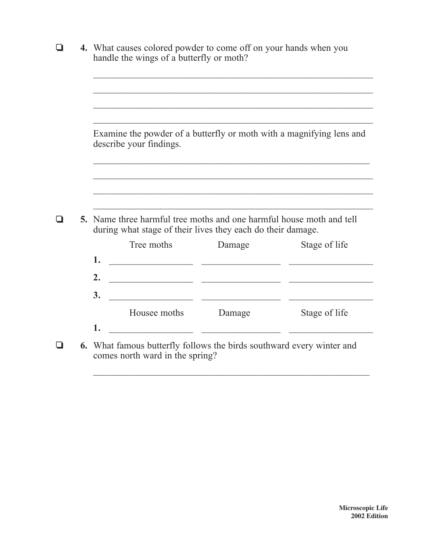| l 1 | 4. What causes colored powder to come off on your hands when you<br>handle the wings of a butterfly or moth?                        |                                                                              |               |  |  |
|-----|-------------------------------------------------------------------------------------------------------------------------------------|------------------------------------------------------------------------------|---------------|--|--|
|     |                                                                                                                                     |                                                                              |               |  |  |
|     | Examine the powder of a butterfly or moth with a magnifying lens and<br>describe your findings.                                     |                                                                              |               |  |  |
|     |                                                                                                                                     |                                                                              |               |  |  |
|     |                                                                                                                                     |                                                                              |               |  |  |
|     | 5. Name three harmful tree moths and one harmful house moth and tell<br>during what stage of their lives they each do their damage. |                                                                              |               |  |  |
|     | Tree moths<br>1.                                                                                                                    | Damage                                                                       | Stage of life |  |  |
|     | 2.                                                                                                                                  |                                                                              |               |  |  |
|     | 3.                                                                                                                                  |                                                                              |               |  |  |
|     | Housee moths<br>1.                                                                                                                  | Damage                                                                       | Stage of life |  |  |
|     | comes north ward in the spring?                                                                                                     | <b>6.</b> What famous butterfly follows the birds southward every winter and |               |  |  |